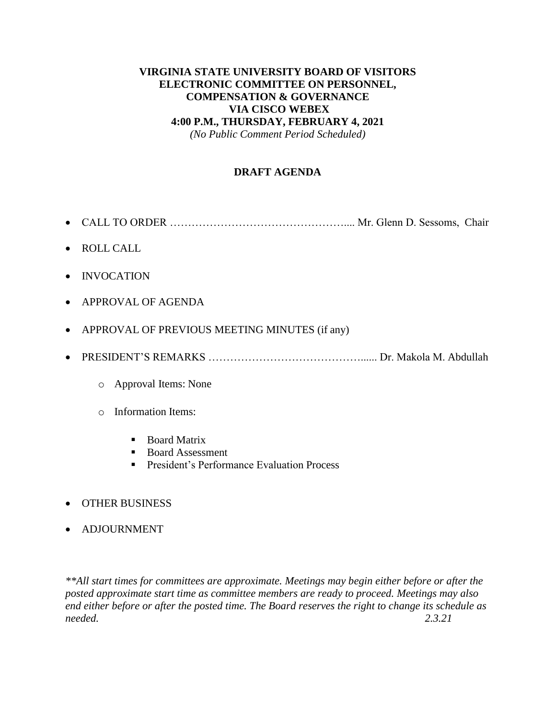# **VIRGINIA STATE UNIVERSITY BOARD OF VISITORS ELECTRONIC COMMITTEE ON PERSONNEL, COMPENSATION & GOVERNANCE VIA CISCO WEBEX 4:00 P.M., THURSDAY, FEBRUARY 4, 2021**

*(No Public Comment Period Scheduled)*

# **DRAFT AGENDA**

- CALL TO ORDER ………………………………………….... Mr. Glenn D. Sessoms, Chair
- ROLL CALL
- INVOCATION
- APPROVAL OF AGENDA
- APPROVAL OF PREVIOUS MEETING MINUTES (if any)
- PRESIDENT'S REMARKS ……………………………………...... Dr. Makola M. Abdullah
	- o Approval Items: None
	- o Information Items:
		- Board Matrix
		- Board Assessment
		- **President's Performance Evaluation Process**
- OTHER BUSINESS
- ADJOURNMENT

*\*\*All start times for committees are approximate. Meetings may begin either before or after the posted approximate start time as committee members are ready to proceed. Meetings may also end either before or after the posted time. The Board reserves the right to change its schedule as needed. 2.3.21*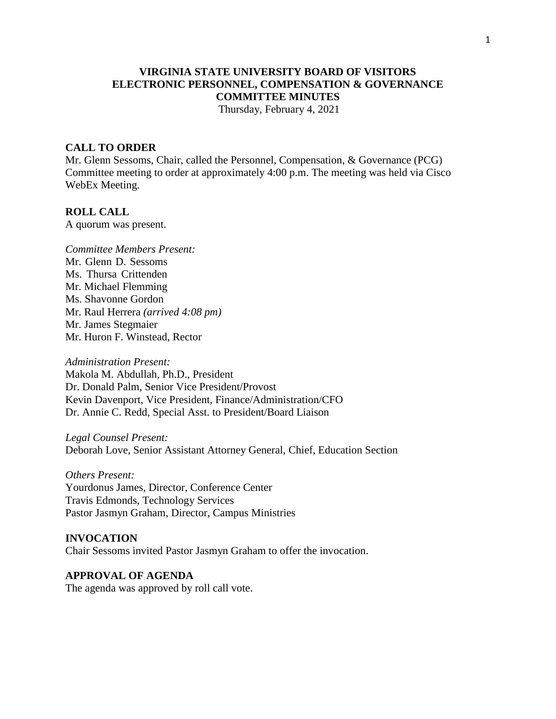# **VIRGINIA STATE UNIVERSITY BOARD OF VISITORS ELECTRONIC PERSONNEL, COMPENSATION & GOVERNANCE COMMITTEE MINUTES**

Thursday, February 4, 2021

#### **CALL TO ORDER**

Mr. Glenn Sessoms, Chair, called the Personnel, Compensation, & Governance (PCG) Committee meeting to order at approximately 4:00 p.m. The meeting was held via Cisco WebEx Meeting.

### **ROLL CALL**

A quorum was present.

*Committee Members Present:* Mr. Glenn D. Sessoms Ms. Thursa Crittenden Mr. Michael Flemming Ms. Shavonne Gordon Mr. Raul Herrera *(arrived 4:08 pm)* Mr. James Stegmaier Mr. Huron F. Winstead, Rector

*Administration Present:* Makola M. Abdullah, Ph.D., President Dr. Donald Palm, Senior Vice President/Provost Kevin Davenport, Vice President, Finance/Administration/CFO Dr. Annie C. Redd, Special Asst. to President/Board Liaison

*Legal Counsel Present:* Deborah Love, Senior Assistant Attorney General, Chief, Education Section

*Others Present:* Yourdonus James, Director, Conference Center Travis Edmonds, Technology Services Pastor Jasmyn Graham, Director, Campus Ministries

## **INVOCATION** Chair Sessoms invited Pastor Jasmyn Graham to offer the invocation.

**APPROVAL OF AGENDA** The agenda was approved by roll call vote.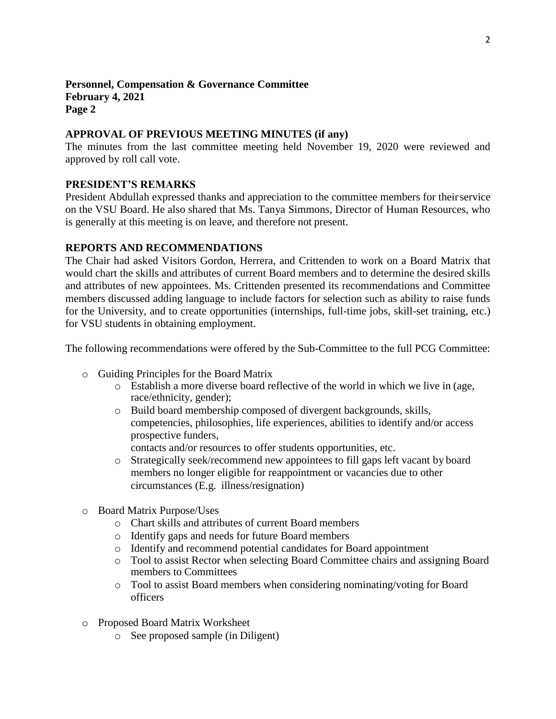## **Personnel, Compensation & Governance Committee February 4, 2021 Page 2**

### **APPROVAL OF PREVIOUS MEETING MINUTES (if any)**

The minutes from the last committee meeting held November 19, 2020 were reviewed and approved by roll call vote.

### **PRESIDENT'S REMARKS**

President Abdullah expressed thanks and appreciation to the committee members for their service on the VSU Board. He also shared that Ms. Tanya Simmons, Director of Human Resources, who is generally at this meeting is on leave, and therefore not present.

## **REPORTS AND RECOMMENDATIONS**

The Chair had asked Visitors Gordon, Herrera, and Crittenden to work on a Board Matrix that would chart the skills and attributes of current Board members and to determine the desired skills and attributes of new appointees. Ms. Crittenden presented its recommendations and Committee members discussed adding language to include factors for selection such as ability to raise funds for the University, and to create opportunities (internships, full-time jobs, skill-set training, etc.) for VSU students in obtaining employment.

The following recommendations were offered by the Sub-Committee to the full PCG Committee:

- o Guiding Principles for the Board Matrix
	- o Establish a more diverse board reflective of the world in which we live in (age, race/ethnicity, gender);
	- o Build board membership composed of divergent backgrounds, skills, competencies, philosophies, life experiences, abilities to identify and/or access prospective funders,

contacts and/or resources to offer students opportunities, etc.

- o Strategically seek/recommend new appointees to fill gaps left vacant by board members no longer eligible for reappointment or vacancies due to other circumstances (E.g. illness/resignation)
- o Board Matrix Purpose/Uses
	- o Chart skills and attributes of current Board members
	- o Identify gaps and needs for future Board members
	- o Identify and recommend potential candidates for Board appointment
	- o Tool to assist Rector when selecting Board Committee chairs and assigning Board members to Committees
	- o Tool to assist Board members when considering nominating/voting for Board officers
- o Proposed Board Matrix Worksheet
	- o See proposed sample (in Diligent)